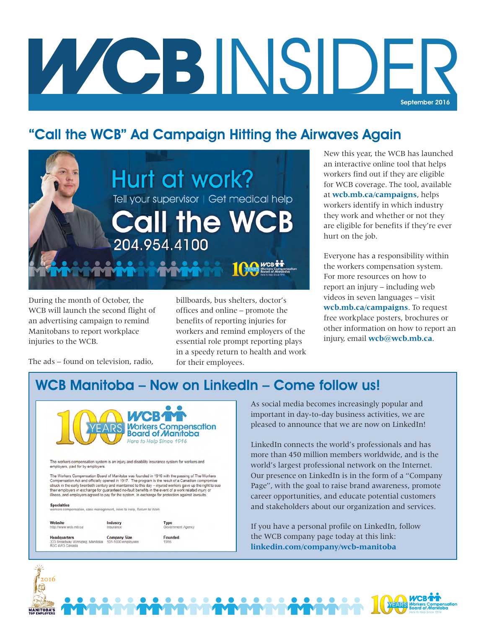# WCBINSIDE September 2016

## "Call the WCB" Ad Campaign Hitting the Airwaves Again



During the month of October, the WCB will launch the second flight of an advertising campaign to remind Manitobans to report workplace injuries to the WCB.

billboards, bus shelters, doctor's offices and online – promote the benefits of reporting injuries for workers and remind employers of the essential role prompt reporting plays in a speedy return to health and work for their employees.

New this year, the WCB has launched an interactive online tool that helps workers find out if they are eligible for WCB coverage. The tool, available at **[wcb.mb.ca/campaigns](http://www.wcb.mb.ca/campaigns)**, helps workers identify in which industry they work and whether or not they are eligible for benefits if they're ever hurt on the job.

Everyone has a responsibility within the workers compensation system. For more resources on how to report an injury – including web videos in seven languages – visit **[wcb.mb.ca/campaigns](http://www.wcb.mb.ca/campaigns)**. To request free workplace posters, brochures or other information on how to report an injury, email **[wcb@wcb.mb.ca](mailto:wcb@wcb.mb.ca)**.

Here to Help Since 1916

**WCB11** 

**YEARS** 

The ads – found on television, radio,

## WCB Manitoba – Now on LinkedIn – Come follow us!



Type<br>Gover

Founded

ment Agency

case management, Here to Help, Return to Work

Website Industry http://www.wcb.mb.ca Insurar **Headquarters Company Size** 333 Broadway Winnipeg, Manitoba<br>R3C 4W3 Canada

2016

**MANITOBA'S** 

As social media becomes increasingly popular and important in day-to-day business activities, we are pleased to announce that we are now on LinkedIn!

LinkedIn connects the world's professionals and has more than 450 million members worldwide, and is the world's largest professional network on the Internet. Our presence on LinkedIn is in the form of a "Company Page", with the goal to raise brand awareness, promote career opportunities, and educate potential customers and stakeholders about our organization and services.

If you have a personal profile on LinkedIn, follow the WCB company page today at this link: **[linkedin.com/company/wcb-manitoba](https://www.linkedin.com/company/wcb-manitoba)**